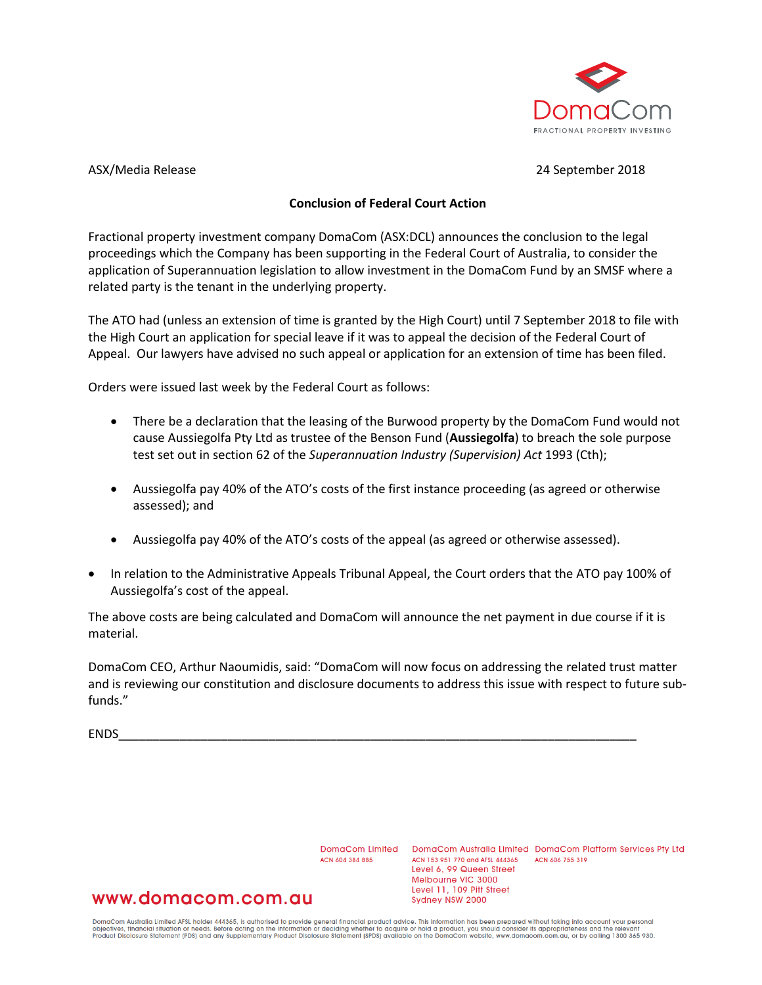

ASX/Media Release 24 September 2018

### **Conclusion of Federal Court Action**

Fractional property investment company DomaCom (ASX:DCL) announces the conclusion to the legal proceedings which the Company has been supporting in the Federal Court of Australia, to consider the application of Superannuation legislation to allow investment in the DomaCom Fund by an SMSF where a related party is the tenant in the underlying property.

The ATO had (unless an extension of time is granted by the High Court) until 7 September 2018 to file with the High Court an application for special leave if it was to appeal the decision of the Federal Court of Appeal. Our lawyers have advised no such appeal or application for an extension of time has been filed.

Orders were issued last week by the Federal Court as follows:

- There be a declaration that the leasing of the Burwood property by the DomaCom Fund would not cause Aussiegolfa Pty Ltd as trustee of the Benson Fund (**Aussiegolfa**) to breach the sole purpose test set out in section 62 of the *Superannuation Industry (Supervision) Act* 1993 (Cth);
- Aussiegolfa pay 40% of the ATO's costs of the first instance proceeding (as agreed or otherwise assessed); and
- Aussiegolfa pay 40% of the ATO's costs of the appeal (as agreed or otherwise assessed).
- In relation to the Administrative Appeals Tribunal Appeal, the Court orders that the ATO pay 100% of Aussiegolfa's cost of the appeal.

The above costs are being calculated and DomaCom will announce the net payment in due course if it is material.

DomaCom CEO, Arthur Naoumidis, said: "DomaCom will now focus on addressing the related trust matter and is reviewing our constitution and disclosure documents to address this issue with respect to future subfunds."

ENDS\_\_\_\_\_\_\_\_\_\_\_\_\_\_\_\_\_\_\_\_\_\_\_\_\_\_\_\_\_\_\_\_\_\_\_\_\_\_\_\_\_\_\_\_\_\_\_\_\_\_\_\_\_\_\_\_\_\_\_\_\_\_\_\_\_\_\_\_\_\_\_\_\_\_\_\_

ACN 604 384 885

DomaCom Limited DomaCom Australia Limited DomaCom Platform Services Pty Ltd ACN 153 951 770 and AFSL 444365 ACN 606 755 319 Level 6, 99 Queen Street Melbourne VIC 3000 Level 11, 109 Pitt Street Sydney NSW 2000

# www.domacom.com.au

DomaCom Australia Limited AFSL holder 444365, is authorised to provide general financial product advice. This information has been prepared without taking into account your personal<br>objectives, financial situation or needs